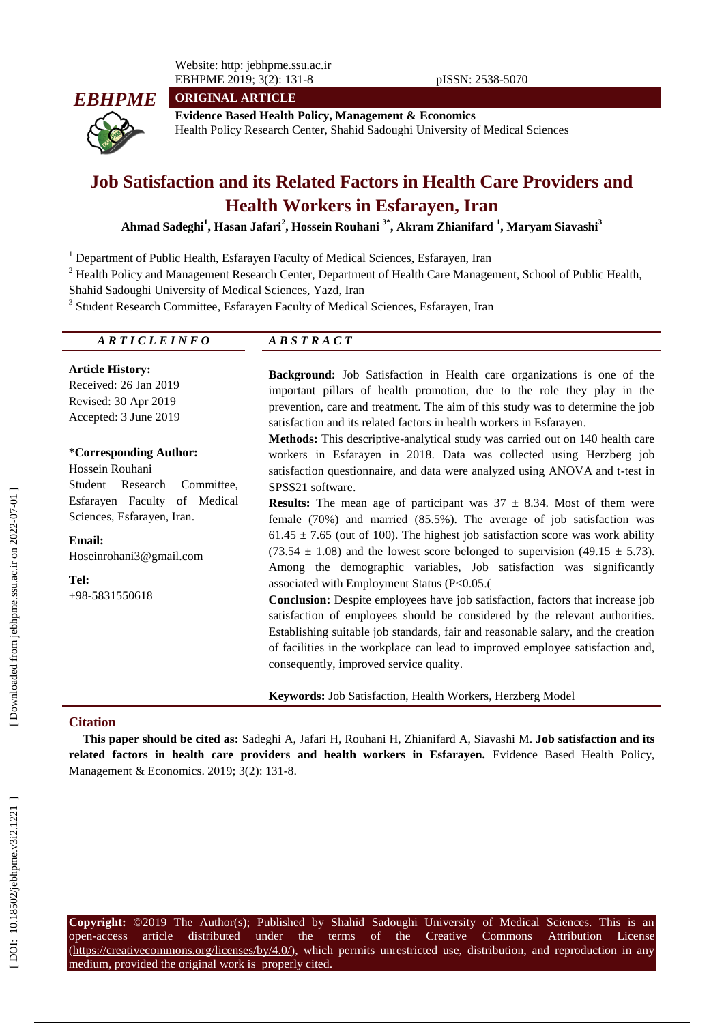Website: http: jebhpme.ssu.ac.ir EBHPME 2019; 3(2): 131-8 pISSN: 2538 -5070



**ORIGINAL ARTICLE**

**Evidence Based Health Policy, Management & Economics** Health Policy Research Center, Shahid Sadoughi University of Medical Sciences

# **Job Satisfaction and its Related Factors in Health Care Providers and Health Workers in Esfarayen, Iran**

**Ahmad Sadeghi 1 , Hasan Jafari 2 , Hossein Rouhani 3 \* , Akram Zhianifard 1 , Maryam Siavashi 3**

<sup>1</sup> Department of Public Health, Esfarayen Faculty of Medical Sciences, Esfarayen, Iran

<sup>2</sup> Health Policy and Management Research Center, Department of Health Care Management, School of Public Health, Shahid Sadoughi University of Medical Sciences, Yazd, Iran

<sup>3</sup> Student Research Committee, Esfarayen Faculty of Medical Sciences, Esfarayen, Iran

| <i>ARTICLEINFO</i>                                                                                                                                                                                                   | <b>ABSTRACT</b>                                                                                                                                                                                                                                                                                                                                                                                                                                                                                                                                                                                                                                                                                                                                                                                                                                                                                                                                                                                                                                                                                                                      |
|----------------------------------------------------------------------------------------------------------------------------------------------------------------------------------------------------------------------|--------------------------------------------------------------------------------------------------------------------------------------------------------------------------------------------------------------------------------------------------------------------------------------------------------------------------------------------------------------------------------------------------------------------------------------------------------------------------------------------------------------------------------------------------------------------------------------------------------------------------------------------------------------------------------------------------------------------------------------------------------------------------------------------------------------------------------------------------------------------------------------------------------------------------------------------------------------------------------------------------------------------------------------------------------------------------------------------------------------------------------------|
| <b>Article History:</b><br>Received: 26 Jan 2019<br>Revised: 30 Apr 2019<br>Accepted: 3 June 2019                                                                                                                    | <b>Background:</b> Job Satisfaction in Health care organizations is one of the<br>important pillars of health promotion, due to the role they play in the<br>prevention, care and treatment. The aim of this study was to determine the job<br>satisfaction and its related factors in health workers in Esfarayen.                                                                                                                                                                                                                                                                                                                                                                                                                                                                                                                                                                                                                                                                                                                                                                                                                  |
| *Corresponding Author:<br>Hossein Rouhani<br>Student<br>Research<br>Committee,<br>Esfarayen Faculty of Medical<br>Sciences, Esfarayen, Iran.<br><b>Email:</b><br>Hoseinrohani3@gmail.com<br>Tel:<br>$+98-5831550618$ | <b>Methods:</b> This descriptive-analytical study was carried out on 140 health care<br>workers in Esfarayen in 2018. Data was collected using Herzberg job<br>satisfaction questionnaire, and data were analyzed using ANOVA and t-test in<br>SPSS21 software.<br><b>Results:</b> The mean age of participant was $37 \pm 8.34$ . Most of them were<br>female $(70\%)$ and married $(85.5\%)$ . The average of job satisfaction was<br>$61.45 \pm 7.65$ (out of 100). The highest job satisfaction score was work ability<br>$(73.54 \pm 1.08)$ and the lowest score belonged to supervision $(49.15 \pm 5.73)$ .<br>Among the demographic variables, Job satisfaction was significantly<br>associated with Employment Status $(P<0.05$ .<br><b>Conclusion:</b> Despite employees have job satisfaction, factors that increase job<br>satisfaction of employees should be considered by the relevant authorities.<br>Establishing suitable job standards, fair and reasonable salary, and the creation<br>of facilities in the workplace can lead to improved employee satisfaction and,<br>consequently, improved service quality. |
|                                                                                                                                                                                                                      | Keywords: Job Satisfaction, Health Workers, Herzberg Model                                                                                                                                                                                                                                                                                                                                                                                                                                                                                                                                                                                                                                                                                                                                                                                                                                                                                                                                                                                                                                                                           |

#### **Citation**

**This paper should be cited as:** Sadeghi A, Jafari H, Rouhani H, Zhianifard A, Siavashi M. **Job satisfaction and its related factors in health care providers and health workers in Esfarayen.** Evidence Based Health Policy, Management & Economics. 2019; 3(2): 131-8.

**Copyright:** ©201 9 The Author(s); Published by Shahid Sadoughi University of Medical Sciences. This is an open-access -access article distributed under the terms of the Creative Commons Attribution License (https://creativecommons.org/licenses/by/4.0/), which permits unrestricted use, distribution, and reproduction in any medium, provided the original work is properly cited.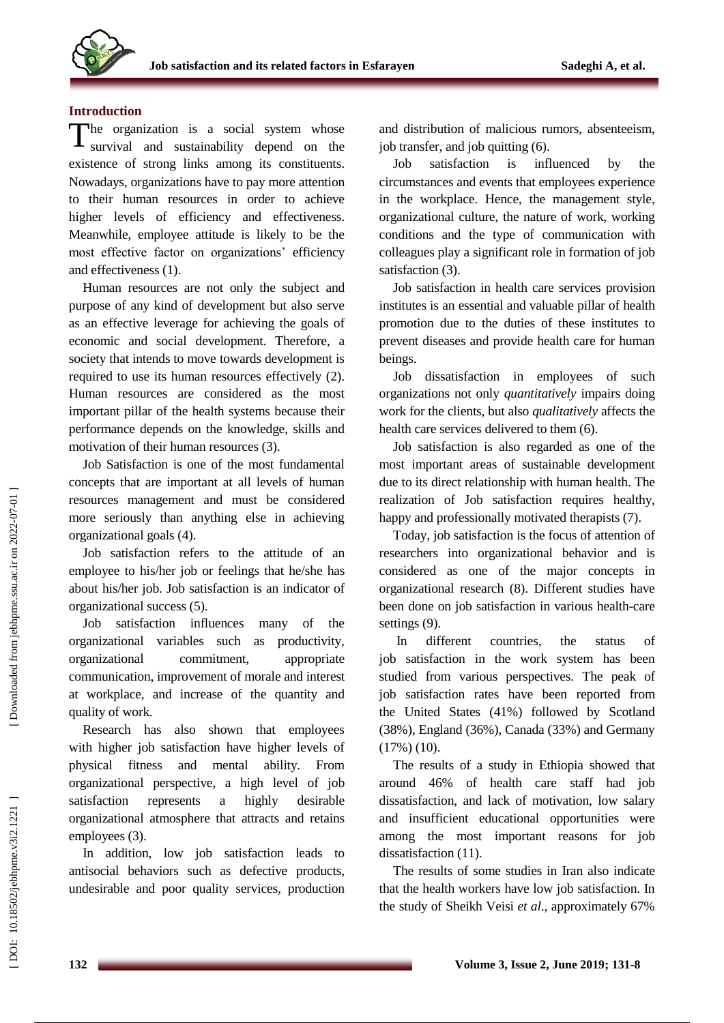# **Introduction**

The organization is a social system whose<br>survival and sustainability depend on the survival and sustainability depend on the existence of strong links among its constituents. Nowadays, organizations have to pay more attention to their human resources in order to achieve higher levels of efficiency and effectiveness. Meanwhile, employee attitude is likely to be the most effective factor on organizations' efficiency and effectiveness (1).

Human resources are not only the subject and purpose of any kind of development but also serve as an effective leverage for achieving the goals of economic and social development. Therefore, a society that intends to move towards development is required to use its human resources effectively (2). Human resources are considered as the most important pillar of the health systems because their performance depends on the knowledge, skills and motivation of their human resources (3).

Job Satisfaction is one of the most fundamental concepts that are important at all levels of human resources management and must be considered more seriously than anything else in achieving organizational goals (4).

Job satisfaction refers to the attitude of an employee to his/her job or feelings that he/she has about his/her job. Job satisfaction is an indicator of organizational success (5).

Job satisfaction influences many of the organizational variables such as productivity, organizational commitment, appropriate communication, improvement of morale and interest at workplace, and increase of the quantity and quality of work.

Research has also shown that employees with higher job satisfaction have higher levels of physical fitness and mental ability. From organizational perspective, a high level of job satisfaction represents a highly desirable organizational atmosphere that attracts and retains employees (3).

In addition, low job satisfaction leads to antisocial behaviors such as defective products, undesirable and poor quality services, production and distribution of malicious rumors, absenteeism, job transfer, and job quitting (6).

Job satisfaction is influenced by the circumstances and events that employees experience in the workplace. Hence, the management style, organizational culture, the nature of work, working conditions and the type of communication with colleagues play a significant role in formation of job satisfaction (3).

Job satisfaction in health care services provision institutes is an essential and valuable pillar of health promotion due to the duties of these institutes to prevent diseases and provide health care for human beings.

Job dissatisfaction in employees of such organizations not only *quantitatively* impairs doing work for the clients, but also *qualitatively* affects the health care services delivered to them (6).

Job satisfaction is also regarded as one of the most important areas of sustainable development due to its direct relationship with human health. The realization of Job satisfaction requires healthy, happy and professionally motivated therapists (7).

Today, job satisfaction is the focus of attention of researchers into organizational behavior and is considered as one of the major concepts in organizational research (8). Different studies have been done on job satisfaction in various health -care settings (9).

In different countries, the status of job satisfaction in the work system has been studied from various perspectives. The peak of job satisfaction rates have been reported from the United States (41%) followed by Scotland (38%), England (36%), Canada (33%) and Germany (17%) (10).

The results of a study in Ethiopia showed that around 46% of health care staff had job dissatisfaction, and lack of motivation, low salary and insufficient educational opportunities were among the most important reasons for job dissatisfaction (11).

The results of some studies in Iran also indicate that the health workers have low job satisfaction. In the study of Sheikh Veisi *et al*., approximately 67%

DOI: 10.18502/jebhpne.v3i2.1221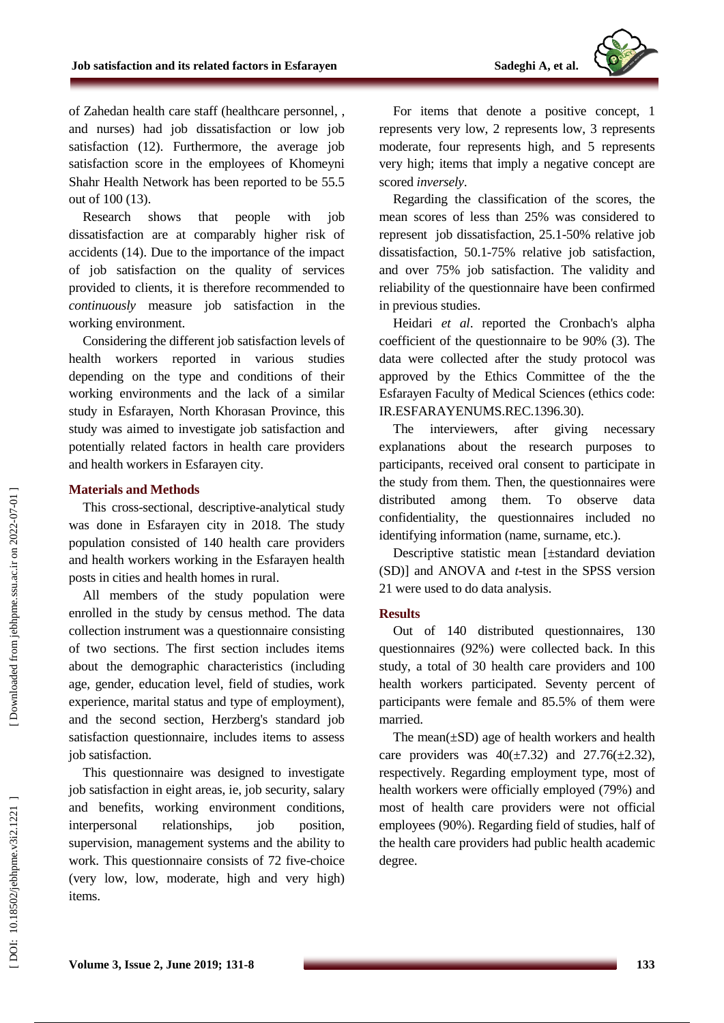

of Zahedan health care staff (healthcare personnel, , and nurses) had job dissatisfaction or low job satisfaction (12). Furthermore, the average job satisfaction score in the employees of Khomeyni Shahr Health Network has been reported to be 55.5 out of 100 (13).

Research shows that people with job dissatisfaction are at comparably higher risk of accidents (14). Due to the importance of the impact of job satisfaction on the quality of services provided to clients, it is therefore recommended to *continuously* measure job satisfaction in the working environment.

Considering the different job satisfaction levels of health workers reported in various studies depending on the type and conditions of their working environments and the lack of a similar study in Esfarayen, North Khorasan Province, this study was aimed to investigate job satisfaction and potentially related factors in health care providers and health workers in Esfarayen city .

### **Materials and Methods**

This cross -sectional, descriptive -analytical study was done in Esfarayen city in 2018. The study population consisted of 140 health care providers and health workers working in the Esfarayen health posts in cities and health homes in rural.

All members of the study population were enrolled in the study by census method. The data collection instrument was a questionnaire consisting of two sections. The first section includes items about the demographic characteristics (including age, gender, education level, field of studies, work experience, marital status and type of employment), and the second section, Herzberg's standard job satisfaction questionnaire, includes items to assess job satisfaction.

This questionnaire was designed to investigate job satisfaction in eight areas, ie, job security, salary and benefits, working environment conditions, interpersonal relationships, job position, supervision, management systems and the ability to work. This questionnaire consists of 72 five -choice (very low, low, moderate, high and very high) items.

For items that denote a positive concept, 1 represents very low, 2 represents low, 3 represents moderate, four represents high, and 5 represents very high; items that imply a negative concept are scored *inversely* .

Regarding the classification of the scores, the mean scores of less than 25% was considered to represent job dissatisfaction, 25.1 -50% relative job dissatisfaction, 50.1 -75% relative job satisfaction, and over 75% job satisfaction. The validity and reliability of the questionnaire have been confirmed in previous studies.

Heidari *et al*. reported the Cronbach's alpha coefficient of the questionnaire to be 90% (3). The data were collected after the study protocol was approved by the Ethics Committee of the the Esfarayen Faculty of Medical Sciences (ethics code: IR.ESFARAYENUMS.REC.1396.30).

The interviewers, after giving necessary explanations about the research purposes to participants, received oral consent to participate in the study from them. Then, the questionnaires were distributed among them. To observe data confidentiality, the questionnaires included no identifying information (name, surname, etc.).

Descriptive statistic mean [±standard deviation (SD)] and ANOVA and *t* -test in the SPSS version 21 were used to do data analysis.

# **Results**

Out of 140 distributed questionnaires, 130 questionnaires (92%) were collected back. In this study, a total of 30 health care providers and 100 health workers participated. Seventy percent of participants were female and 85.5% of them were married.

The mean $(\pm SD)$  age of health workers and health care providers was  $40(\pm 7.32)$  and  $27.76(\pm 2.32)$ , respectively. Regarding employment type, most of health workers were officially employed (79%) and most of health care providers were not official employees (90%). Regarding field of studies, half of the health care providers had public health academic degree.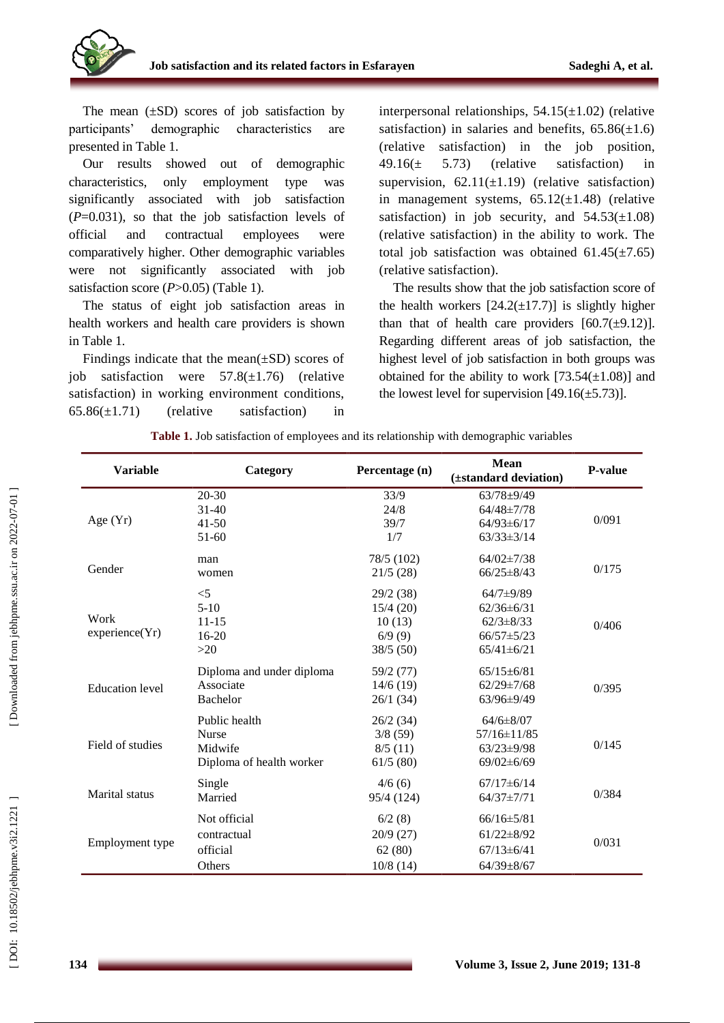

The mean  $(\pm SD)$  scores of job satisfaction by participants' demographic characteristics are presented in Table 1.

Our results showed out of demographic characteristics, only employment type was significantly associated with job satisfaction (*P*=0.031), so that the job satisfaction levels of official and contractual employees were comparatively higher. Other demographic variables were not significantly associated with job satisfaction score (P>0.05) (Table 1).

The status of eight job satisfaction areas in health workers and health care providers is shown in Table 1.

Findings indicate that the mean $(\pm SD)$  scores of job satisfaction were  $57.8(\pm 1.76)$  (relative satisfaction) in working environment conditions,  $65.86(\pm 1.71)$  (relative satisfaction) in

interpersonal relationships,  $54.15(\pm 1.02)$  (relative satisfaction) in salaries and benefits,  $65.86(\pm 1.6)$ (relative satisfaction) in the job position,  $49.16(\pm 5.73)$  (relative satisfaction) in supervision,  $62.11(\pm 1.19)$  (relative satisfaction) in management systems,  $65.12(\pm 1.48)$  (relative satisfaction) in job security, and  $54.53(\pm 1.08)$ (relative satisfaction) in the ability to work. The total job satisfaction was obtained  $61.45(\pm 7.65)$ (relative satisfaction).

The results show that the job satisfaction score of the health workers  $[24.2(\pm 17.7)]$  is slightly higher than that of health care providers  $[60.7(\pm 9.12)].$ Regarding different areas of job satisfaction, the highest level of job satisfaction in both groups was obtained for the ability to work  $[73.54(\pm 1.08)]$  and the lowest level for supervision  $[49.16(\pm 5.73)]$ .

|  |  |  | Table 1. Job satisfaction of employees and its relationship with demographic variables |  |
|--|--|--|----------------------------------------------------------------------------------------|--|
|  |  |  |                                                                                        |  |
|  |  |  |                                                                                        |  |

| <b>Variable</b>        | Category                  | Percentage (n) | <b>Mean</b><br>(±standard deviation) | <b>P-value</b> |  |
|------------------------|---------------------------|----------------|--------------------------------------|----------------|--|
|                        | $20 - 30$                 | 33/9           | $63/78 + 9/49$                       |                |  |
| Age $(Yr)$             | $31-40$                   | 24/8           | $64/48 \pm 7/78$                     |                |  |
|                        | $41 - 50$                 | 39/7           | $64/93 \pm 6/17$                     | 0/091          |  |
|                        | 51-60                     | 1/7            | $63/33 \pm 3/14$                     |                |  |
|                        | man                       | 78/5 (102)     | $64/02 \pm 7/38$                     |                |  |
| Gender                 | women                     | 21/5(28)       | $66/25 \pm 8/43$                     | 0/175          |  |
|                        | $<$ 5                     | 29/2 (38)      | $64/7+9/89$                          |                |  |
|                        | $5-10$                    | 15/4(20)       | $62/36 \pm 6/31$                     |                |  |
| Work<br>experience(Yr) | $11 - 15$                 | 10(13)         | $62/3 \pm 8/33$                      | 0/406          |  |
|                        | 16-20                     | 6/9(9)         | $66/57 \pm 5/23$                     |                |  |
|                        | $>20$                     | 38/5 (50)      | $65/41 \pm 6/21$                     |                |  |
|                        | Diploma and under diploma | 59/2 (77)      | $65/15 \pm 6/81$                     |                |  |
| <b>Education</b> level | Associate                 | 14/6(19)       | $62/29 \pm 7/68$                     | 0/395          |  |
|                        | Bachelor                  | 26/1(34)       | 63/96±9/49                           |                |  |
|                        | Public health             | 26/2(34)       | $64/6 \pm 8/07$                      |                |  |
|                        | <b>Nurse</b>              | 3/8(59)        | 57/16±11/85                          |                |  |
| Field of studies       | Midwife                   | 8/5(11)        | $63/23 \pm 9/98$                     | 0/145          |  |
|                        | Diploma of health worker  | 61/5(80)       | $69/02 \pm 6/69$                     |                |  |
| Marital status         | Single                    | 4/6(6)         | $67/17 \pm 6/14$                     |                |  |
|                        | Married                   | 95/4 (124)     | $64/37 \pm 7/71$                     | 0/384          |  |
|                        | Not official              | 6/2(8)         | $66/16 \pm 5/81$                     |                |  |
|                        | contractual               | 20/9(27)       | $61/22 \pm 8/92$                     | 0/031          |  |
| Employment type        | official                  | 62(80)         | $67/13 \pm 6/41$                     |                |  |
|                        | Others                    | $10/8$ (14)    | $64/39 \pm 8/67$                     |                |  |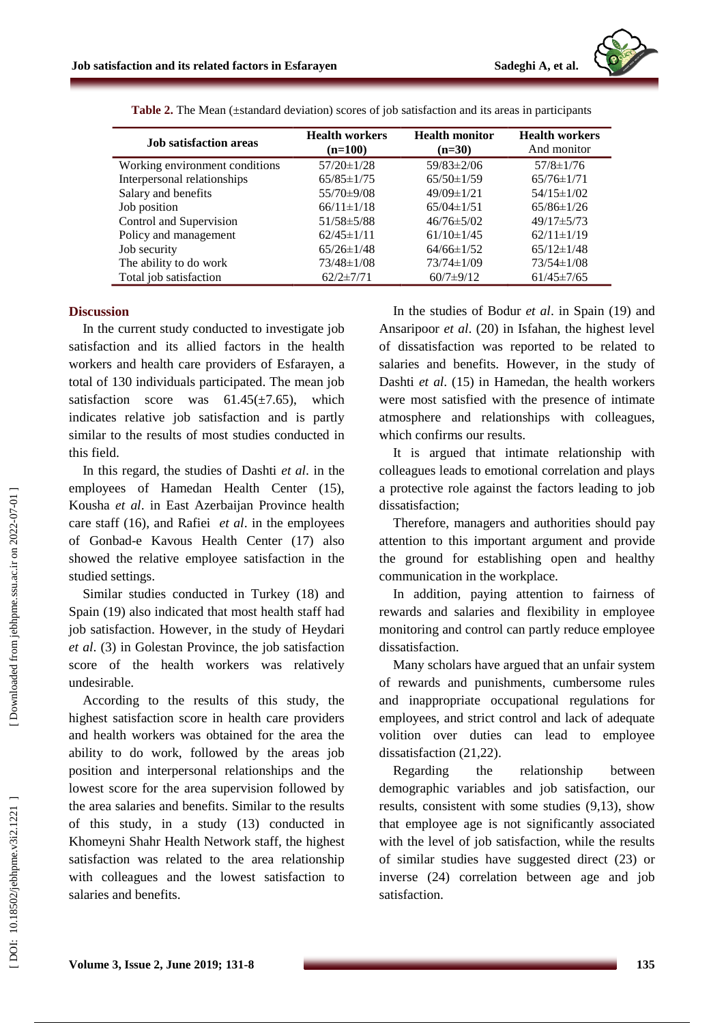

| <b>Job</b> satisfaction areas  | <b>Health workers</b><br>$(n=100)$ | <b>Health monitor</b><br>$(n=30)$ | <b>Health workers</b><br>And monitor |
|--------------------------------|------------------------------------|-----------------------------------|--------------------------------------|
| Working environment conditions | $57/20 \pm 1/28$                   | $59/83 \pm 2/06$                  | $57/8 \pm 1/76$                      |
| Interpersonal relationships    | $65/85 \pm 1/75$                   | $65/50 \pm 1/59$                  | $65/76 \pm 1/71$                     |
| Salary and benefits            | 55/70±9/08                         | $49/09 \pm 1/21$                  | $54/15 \pm 1/02$                     |
| Job position                   | $66/11 \pm 1/18$                   | $65/04 \pm 1/51$                  | $65/86 \pm 1/26$                     |
| Control and Supervision        | $51/58 \pm 5/88$                   | $46/76 \pm 5/02$                  | $49/17 \pm 5/73$                     |
| Policy and management          | $62/45 \pm 1/11$                   | $61/10 \pm 1/45$                  | $62/11 \pm 1/19$                     |
| Job security                   | $65/26 \pm 1/48$                   | $64/66 \pm 1/52$                  | $65/12 \pm 1/48$                     |
| The ability to do work         | $73/48 \pm 1/08$                   | $73/74 \pm 1/09$                  | $73/54 \pm 1/08$                     |
| Total job satisfaction         | $62/2 \pm 7/71$                    | $60/7 \pm 9/12$                   | $61/45 \pm 7/65$                     |

**Table 2.** The Mean (±standard deviation) scores of job satisfaction and its areas in participants

### **Discussion**

In the current study conducted to investigate job satisfaction and its allied factors in the health workers and health care providers of Esfarayen, a total of 130 individuals participated. The mean job satisfaction score was  $61.45(\pm 7.65)$ , which indicates relative job satisfaction and is partly similar to the results of most studies conducted in this field.

In this regard, the studies of Dashti *et a l*. in the employees of Hamedan Health Center (15), Kousha *et al* . in East Azerbaijan Province health care staff (16), and Rafiei *et al*. in the employees of Gonbad -e Kavous Health Center (17) also showed the relative employee satisfaction in the studied settings.

Similar studies conducted in Turkey (18) and Spain (19) also indicated that most health staff had job satisfaction. However, in the study of Heydari *et al*. (3) in Golestan Province, the job satisfaction score of the health workers was relatively undesirable.

According to the results of this study, the highest satisfaction score in health care providers and health workers was obtained for the area the ability to do work, followed by the areas job position and interpersonal relationships and the lowest score for the area supervision followed by the area salaries and benefits. Similar to the results of this study, in a study (13) conducted in Khomeyni Shahr Health Network staff, the highest satisfaction was related to the area relationship with colleagues and the lowest satisfaction to salaries and benefits.

In the studies of Bodur *et al*. in Spain (19) and Ansaripoor *et al*. (20) in Isfahan, the highest level of dissatisfaction was reported to be related to salaries and benefits. However, in the study of Dashti *et al*. (15) in Hamedan, the health workers were most satisfied with the presence of intimate atmosphere and relationships with colleagues, which confirms our results.

It is argued that intimate relationship with colleagues leads to emotional correlation and plays a protective role against the factors leading to job dissatisfaction:

Therefore, managers and authorities should pay attention to this important argument and provide the ground for establishing open and healthy communication in the workplace.

In addition, paying attention to fairness of rewards and salaries and flexibility in employee monitoring and control can partly reduce employee dissatisfaction.

Many scholars have argued that an unfair system of rewards and punishments, cumbersome rules and inappropriate occupational regulations for employees, and strict control and lack of adequate volition over duties can lead to employee dissatisfaction (21,22).

Regarding the relationship between demographic variables and job satisfaction, our results, consistent with some studies (9,13), show that employee age is not significantly associated with the level of job satisfaction, while the results of similar studies have suggested direct (23) or inverse (24) correlation between age and job satisfaction.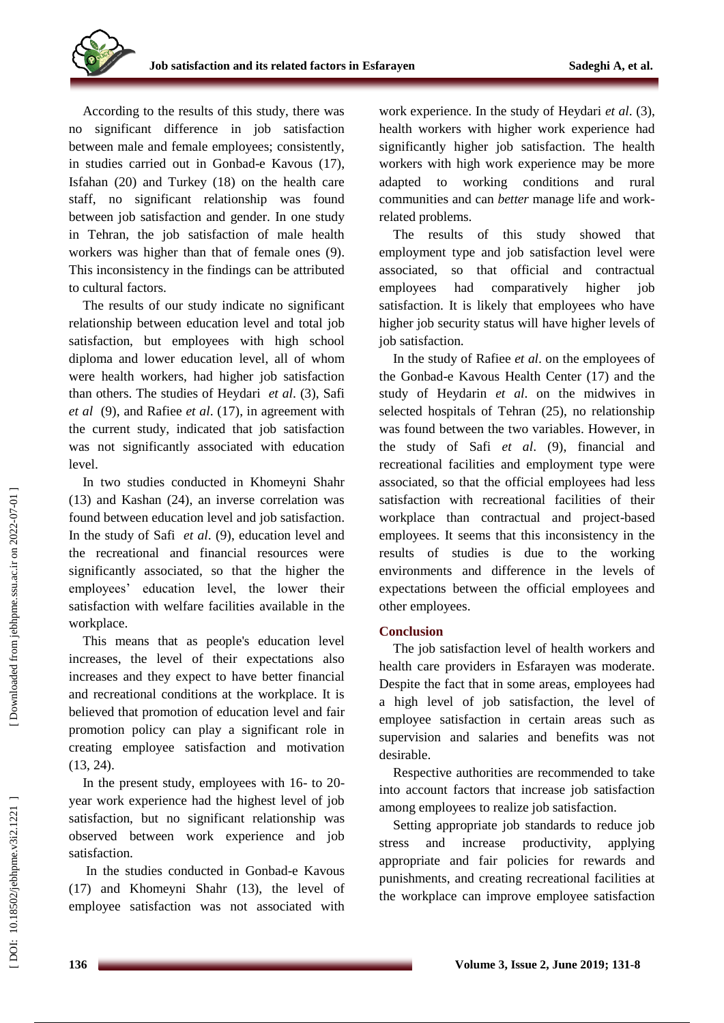According to the results of this study, there was no significant difference in job satisfaction between male and female employees; consistently, in studies carried out in Gonbad -e Kavous (17), Isfahan (20) and Turkey (18) on the health care staff, no significant relationship was found between job satisfaction and gender. In one study in Tehran, the job satisfaction of male health workers was higher than that of female ones (9). This inconsistency in the findings can be attributed to cultural factors.

The results of our study indicate no significant relationship between education level and total job satisfaction, but employees with high school diploma and lower education level, all of whom were health workers, had higher job satisfaction than others. The studies of Heydari *et al*. (3), Safi *et al* (9), and Rafiee *et al*. (17), in agreement with the current study, indicated that job satisfaction was not significantly associated with education level.

In two studies conducted in Khomeyni Shahr (13) and Kashan (24), an inverse correlation was found between education level and job satisfaction. In the study of Safi *et al*. (9), education level and the recreational and financial resources were significantly associated, so that the higher the employees' education level, the lower their satisfaction with welfare facilities available in the workplace.

This means that as people's education level increases, the level of their expectations also increases and they expect to have better financial and recreational conditions at the workplace. It is believed that promotion of education level and fair promotion policy can play a significant role in creating employee satisfaction and motivation (13, 24).

In the present study, employees with 16- to 20year work experience had the highest level of job satisfaction, but no significant relationship was observed between work experience and job satisfaction.

In the studies conducted in Gonbad -e Kavous (17) and Khomeyni Shahr (13), the level of employee satisfaction was not associated with

work experience. In the study of Heydari *et al*. (3), health workers with higher work experience had significantly higher job satisfaction. The health workers with high work experience may be more adapted to working conditions and rural communities and can *better* manage life and work related problems.

The results of this study showed that employment type and job satisfaction level were associated, so that official and contractual employees had comparatively higher job satisfaction. It is likely that employees who have higher job security status will have higher levels of job satisfaction.

In the study of Rafiee *et al*. on the employees of the Gonbad -e Kavous Health Center (17) and the study of Heydarin *et al*. on the midwives in selected hospitals of Tehran (25), no relationship was found between the two variables. However, in the study of Safi *et al*. (9), financial and recreational facilities and employment type were associated, so that the official employees had less satisfaction with recreational facilities of their workplace than contractual and project -based employees. It seems that this inconsistency in the results of studies is due to the working environments and difference in the levels of expectations between the official employees and other employees.

# **Conclusion**

The job satisfaction level of health workers and health care providers in Esfarayen was moderate. Despite the fact that in some areas, employees had a high level of job satisfaction, the level of employee satisfaction in certain areas such as supervision and salaries and benefits was not desirable.

Respective authorities are recommended to take into account factors that increase job satisfaction among employees to realize job satisfaction.

Setting appropriate job standards to reduce job stress and increase productivity, applying appropriate and fair policies for rewards and punishments, and creating recreational facilities at the workplace can improve employee satisfaction

Downloaded from jebhpme.ssu.ac.ir on 2022-07-01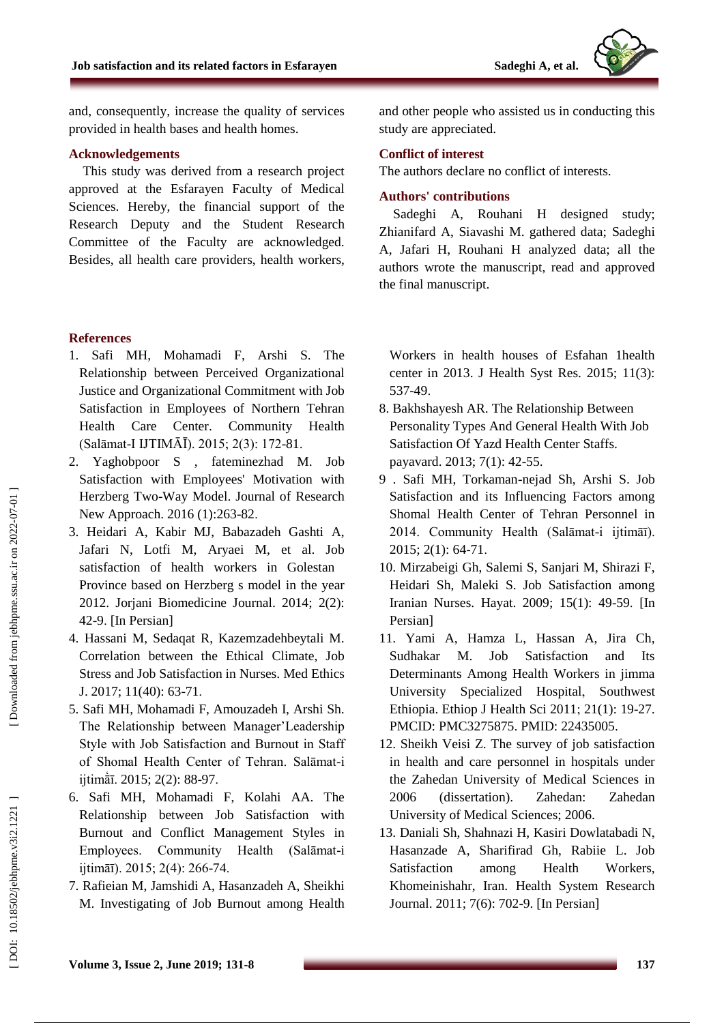and, consequently, increase the quality of services provided in health bases and health homes.

# **Acknowledgements**

This study was derived from a research project approved at the Esfarayen Faculty of Medical Sciences. Hereby, the financial support of the Research Deputy and the Student Research Committee of the Faculty are acknowledged. Besides, all health care providers, health workers,

# **References**

- 1. Safi MH, Mohamadi F, Arshi S. The Relationship between Perceived Organizational Justice and Organizational Commitment with Job Satisfaction in Employees of Northern Tehran Health Care Center. Community Health (Salāmat -I IJTIMĀĪ). 2015; 2(3): 172 -81 .
- 2. Yaghobpoor S , fateminezhad M. Job Satisfaction with Employees' Motivation with Herzberg Two -Way Model. Journal of Research New Approach. 2016 (1):263-82.
- 3. Heidari A, Kabir MJ, Babazadeh Gashti A, Jafari N, Lotfi M, Aryaei M, et al. Job satisfaction of health workers in Golestan Province based on Herzberg s model in the year 2012. Jorjani Biomedicine Journal. 2014; 2(2): 42 - 9 . [In Persian]
- 4. Hassani M, Sedaqat R, Kazemzadehbeytali M. Correlation between the Ethical Climate, Job Stress and Job Satisfaction in Nurses. Med Ethics J. 2017; 11(40): 63 -71 .
- 5. Safi MH, Mohamadi F, Amouzadeh I, Arshi Sh. The Relationship between Manager' Leadership Style with Job Satisfaction and Burnout in Staff of Shomal Health Center of Tehran. Salāmat-i ijtimātī. 2015; 2(2): 88-97.
- 6. Safi MH, Mohamadi F, Kolahi AA. The Relationship between Job Satisfaction with Burnout and Conflict Management Styles in Employees. Community Health (Salāmat-i ijtimāī). 2015; 2(4): 266-74.
- 7. Rafieian M, Jamshidi A, Hasanzadeh A, Sheikhi M. Investigating of Job Burnout among Health

and other people who assisted us in conducting this study are appreciated.

# **Conflict of interest**

The authors declare no conflict of interests.

## **Authors' contributions**

Sadeghi A, Rouhani H designed study; Zhianifard A, Siavashi M. gathered data; Sadeghi A, Jafari H, Rouhani H analyzed data; all the authors wrote the manuscript, read and approved the final manuscript.

Workers in health houses of Esfahan 1health center in 2013. J Health Syst Res. 2015; 11(3): 537 -49 .

- 8. Bakhshayesh AR. The Relationship Between Personality Types And General Health With Job Satisfaction Of Yazd Health Center Staffs. payavard. 2013; 7(1): 42 -55.
- 9 . Safi MH, Torkaman -nejad Sh, Arshi S. Job Satisfaction and its Influencing Factors among Shomal Health Center of Tehran Personnel in 2014. Community Health (Salāmat-i ijtimāī). 2015; 2(1): 64 -71 .
- 10. Mirzabeigi Gh, Salemi S, Sanjari M, Shirazi F, Heidari Sh, Maleki S. Job Satisfaction among Iranian Nurses. Hayat. 2009; 15(1): 49 -59 . [In Persian]
- 11. Yami A, Hamza L, Hassan A, Jira Ch, Sudhakar M. Job Satisfaction and Its Determinants Among Health Workers in jimma University Specialized Hospital , Southwest Ethiopia. Ethiop J Health Sci 2011 ; 21(1): 19 -27. PMCID: PMC3275875. PMID: 22435005.
- 12. Sheikh Veisi Z. The survey of job satisfaction in health and care personnel in hospitals under the Zahedan University of Medical Sciences in 2006 (dissertation). Zahedan: Zahedan University of Medical Sciences; 2006.
- 13. Daniali Sh, Shahnazi H, Kasiri Dowlatabadi N , Hasanzade A, Sharifirad Gh, Rabiie L. Job Satisfaction among Health Workers, Khomeinishahr, Iran. Health System Research Journal. 2011; 7(6): 702 -9. [In Persian]